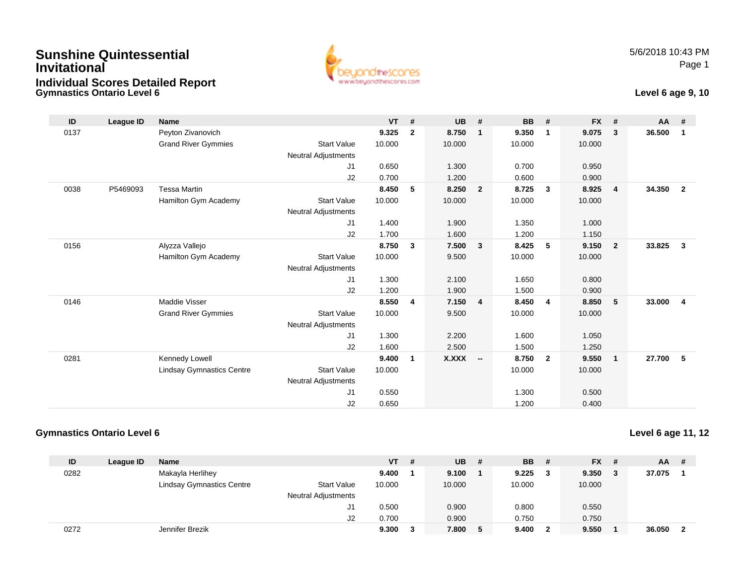## **Gymnastics Ontario Level 6Sunshine QuintessentialInvitationalIndividual Scores Detailed Report**



#### **Level 6 age 9, 10**

| ID   | League ID | <b>Name</b>                      |                            | <b>VT</b> | #              | <b>UB</b>    | #                        | <b>BB</b> | #              | <b>FX</b> | #                       | <b>AA</b> | #              |
|------|-----------|----------------------------------|----------------------------|-----------|----------------|--------------|--------------------------|-----------|----------------|-----------|-------------------------|-----------|----------------|
| 0137 |           | Peyton Zivanovich                |                            | 9.325     | $\overline{2}$ | 8.750        | 1                        | 9.350     | -1             | 9.075     | 3                       | 36.500    | $\mathbf 1$    |
|      |           | <b>Grand River Gymmies</b>       | <b>Start Value</b>         | 10.000    |                | 10.000       |                          | 10.000    |                | 10.000    |                         |           |                |
|      |           |                                  | <b>Neutral Adjustments</b> |           |                |              |                          |           |                |           |                         |           |                |
|      |           |                                  | J1                         | 0.650     |                | 1.300        |                          | 0.700     |                | 0.950     |                         |           |                |
|      |           |                                  | J2                         | 0.700     |                | 1.200        |                          | 0.600     |                | 0.900     |                         |           |                |
| 0038 | P5469093  | <b>Tessa Martin</b>              |                            | 8.450     | 5              | 8.250        | $\overline{2}$           | 8.725     | $\mathbf{3}$   | 8.925     | $\overline{\mathbf{4}}$ | 34.350    | $\mathbf{2}$   |
|      |           | Hamilton Gym Academy             | <b>Start Value</b>         | 10.000    |                | 10.000       |                          | 10.000    |                | 10.000    |                         |           |                |
|      |           |                                  | <b>Neutral Adjustments</b> |           |                |              |                          |           |                |           |                         |           |                |
|      |           |                                  | J1                         | 1.400     |                | 1.900        |                          | 1.350     |                | 1.000     |                         |           |                |
|      |           |                                  | J2                         | 1.700     |                | 1.600        |                          | 1.200     |                | 1.150     |                         |           |                |
| 0156 |           | Alyzza Vallejo                   |                            | 8.750     | 3              | 7.500        | $\mathbf{3}$             | 8.425     | 5              | 9.150     | $\overline{\mathbf{2}}$ | 33.825    | $\mathbf{3}$   |
|      |           | Hamilton Gym Academy             | <b>Start Value</b>         | 10.000    |                | 9.500        |                          | 10.000    |                | 10.000    |                         |           |                |
|      |           |                                  | <b>Neutral Adjustments</b> |           |                |              |                          |           |                |           |                         |           |                |
|      |           |                                  | J <sub>1</sub>             | 1.300     |                | 2.100        |                          | 1.650     |                | 0.800     |                         |           |                |
|      |           |                                  | J2                         | 1.200     |                | 1.900        |                          | 1.500     |                | 0.900     |                         |           |                |
| 0146 |           | <b>Maddie Visser</b>             |                            | 8.550     | 4              | 7.150        | $\overline{\mathbf{4}}$  | 8.450     | $\overline{4}$ | 8.850     | 5                       | 33.000    | $\overline{4}$ |
|      |           | <b>Grand River Gymmies</b>       | <b>Start Value</b>         | 10.000    |                | 9.500        |                          | 10.000    |                | 10.000    |                         |           |                |
|      |           |                                  | <b>Neutral Adjustments</b> |           |                |              |                          |           |                |           |                         |           |                |
|      |           |                                  | J <sub>1</sub>             | 1.300     |                | 2.200        |                          | 1.600     |                | 1.050     |                         |           |                |
|      |           |                                  | J2                         | 1.600     |                | 2.500        |                          | 1.500     |                | 1.250     |                         |           |                |
| 0281 |           | Kennedy Lowell                   |                            | 9.400     | 1              | <b>X.XXX</b> | $\overline{\phantom{a}}$ | 8.750     | $\overline{2}$ | 9.550     | $\overline{1}$          | 27.700    | 5              |
|      |           | <b>Lindsay Gymnastics Centre</b> | <b>Start Value</b>         | 10.000    |                |              |                          | 10.000    |                | 10.000    |                         |           |                |
|      |           |                                  | <b>Neutral Adjustments</b> |           |                |              |                          |           |                |           |                         |           |                |
|      |           |                                  | J <sub>1</sub>             | 0.550     |                |              |                          | 1.300     |                | 0.500     |                         |           |                |
|      |           |                                  | J <sub>2</sub>             | 0.650     |                |              |                          | 1.200     |                | 0.400     |                         |           |                |

#### **Gymnastics Ontario Level 6**

#### **Level 6 age 11, 12**

| ID   | League ID | <b>Name</b>                      |                            | VT.    | # | <b>UB</b> | -# | <b>BB</b> # | <b>FX</b> | - # | <b>AA</b> | -# |
|------|-----------|----------------------------------|----------------------------|--------|---|-----------|----|-------------|-----------|-----|-----------|----|
| 0282 |           | Makayla Herlihey                 |                            | 9.400  |   | 9.100     |    | 9.225       | 9.350     | - 3 | 37.075    |    |
|      |           | <b>Lindsay Gymnastics Centre</b> | <b>Start Value</b>         | 10.000 |   | 10.000    |    | 10.000      | 10.000    |     |           |    |
|      |           |                                  | <b>Neutral Adjustments</b> |        |   |           |    |             |           |     |           |    |
|      |           |                                  | J1                         | 0.500  |   | 0.900     |    | 0.800       | 0.550     |     |           |    |
|      |           |                                  | J2                         | 0.700  |   | 0.900     |    | 0.750       | 0.750     |     |           |    |
| 0272 |           | Jennifer Brezik                  |                            | 9.300  |   | 7.800     | 5  | 9.400       | 9.550     |     | 36.050    |    |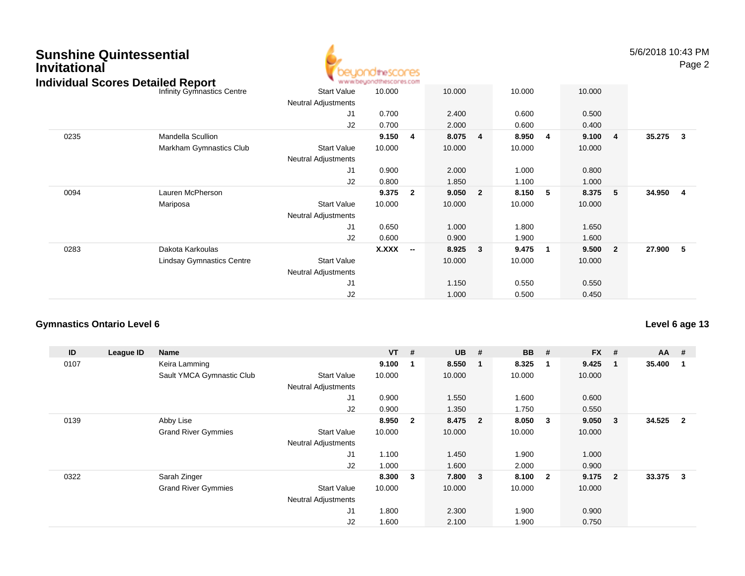# **Sunshine QuintessentialInvitationalIndividual Scores Detailed Report**



5/6/2018 10:43 PMPage 2

| idividual Scores Detailed Report |                                  |                            | www.beyondthescores.com |                          |        |                |        |   |        |                         |          |                |
|----------------------------------|----------------------------------|----------------------------|-------------------------|--------------------------|--------|----------------|--------|---|--------|-------------------------|----------|----------------|
|                                  | Infinity Gymnastics Centre       | <b>Start Value</b>         | 10.000                  |                          | 10.000 |                | 10.000 |   | 10.000 |                         |          |                |
|                                  |                                  | <b>Neutral Adjustments</b> |                         |                          |        |                |        |   |        |                         |          |                |
|                                  |                                  | J <sub>1</sub>             | 0.700                   |                          | 2.400  |                | 0.600  |   | 0.500  |                         |          |                |
|                                  |                                  | J2                         | 0.700                   |                          | 2.000  |                | 0.600  |   | 0.400  |                         |          |                |
| 0235                             | Mandella Scullion                |                            | 9.150                   | 4                        | 8.075  | $\overline{4}$ | 8.950  | 4 | 9.100  | $\overline{4}$          | 35.275 3 |                |
|                                  | Markham Gymnastics Club          | <b>Start Value</b>         | 10.000                  |                          | 10.000 |                | 10.000 |   | 10.000 |                         |          |                |
|                                  |                                  | <b>Neutral Adjustments</b> |                         |                          |        |                |        |   |        |                         |          |                |
|                                  |                                  | J <sub>1</sub>             | 0.900                   |                          | 2.000  |                | 1.000  |   | 0.800  |                         |          |                |
|                                  |                                  | J2                         | 0.800                   |                          | 1.850  |                | 1.100  |   | 1.000  |                         |          |                |
| 0094                             | Lauren McPherson                 |                            | 9.375                   | $\overline{2}$           | 9.050  | $\overline{2}$ | 8.150  | 5 | 8.375  | 5                       | 34.950   | $\overline{4}$ |
|                                  | Mariposa                         | <b>Start Value</b>         | 10.000                  |                          | 10.000 |                | 10.000 |   | 10.000 |                         |          |                |
|                                  |                                  | <b>Neutral Adjustments</b> |                         |                          |        |                |        |   |        |                         |          |                |
|                                  |                                  | J1                         | 0.650                   |                          | 1.000  |                | 1.800  |   | 1.650  |                         |          |                |
|                                  |                                  | J <sub>2</sub>             | 0.600                   |                          | 0.900  |                | 1.900  |   | 1.600  |                         |          |                |
| 0283                             | Dakota Karkoulas                 |                            | X.XXX                   | $\overline{\phantom{a}}$ | 8.925  | $\mathbf{3}$   | 9.475  | 1 | 9.500  | $\overline{\mathbf{2}}$ | 27.900   | $-5$           |
|                                  | <b>Lindsay Gymnastics Centre</b> | <b>Start Value</b>         |                         |                          | 10.000 |                | 10.000 |   | 10.000 |                         |          |                |
|                                  |                                  | <b>Neutral Adjustments</b> |                         |                          |        |                |        |   |        |                         |          |                |
|                                  |                                  | J <sub>1</sub>             |                         |                          | 1.150  |                | 0.550  |   | 0.550  |                         |          |                |
|                                  |                                  | J <sub>2</sub>             |                         |                          | 1.000  |                | 0.500  |   | 0.450  |                         |          |                |

#### **Gymnastics Ontario Level 6**

| ID   | League ID | Name                       |                            | <b>VT</b> | #                       | <b>UB</b> | #                       | <b>BB</b> | #                       | <b>FX</b> | #              | $AA$ # |                |
|------|-----------|----------------------------|----------------------------|-----------|-------------------------|-----------|-------------------------|-----------|-------------------------|-----------|----------------|--------|----------------|
| 0107 |           | Keira Lamming              |                            | 9.100     | - 1                     | 8.550     | - 1                     | 8.325     | $\mathbf 1$             | 9.425     |                | 35.400 |                |
|      |           | Sault YMCA Gymnastic Club  | <b>Start Value</b>         | 10.000    |                         | 10.000    |                         | 10.000    |                         | 10.000    |                |        |                |
|      |           |                            | <b>Neutral Adjustments</b> |           |                         |           |                         |           |                         |           |                |        |                |
|      |           |                            | J1                         | 0.900     |                         | 1.550     |                         | 1.600     |                         | 0.600     |                |        |                |
|      |           |                            | J <sub>2</sub>             | 0.900     |                         | 1.350     |                         | 1.750     |                         | 0.550     |                |        |                |
| 0139 |           | Abby Lise                  |                            | 8.950     | $\overline{\mathbf{2}}$ | 8.475     | $\overline{\mathbf{2}}$ | 8.050     | 3                       | 9.050     | 3              | 34.525 | $\overline{2}$ |
|      |           | <b>Grand River Gymmies</b> | <b>Start Value</b>         | 10.000    |                         | 10.000    |                         | 10.000    |                         | 10.000    |                |        |                |
|      |           |                            | <b>Neutral Adjustments</b> |           |                         |           |                         |           |                         |           |                |        |                |
|      |           |                            | J <sub>1</sub>             | 1.100     |                         | 1.450     |                         | 1.900     |                         | 1.000     |                |        |                |
|      |           |                            | J <sub>2</sub>             | 1.000     |                         | 1.600     |                         | 2.000     |                         | 0.900     |                |        |                |
| 0322 |           | Sarah Zinger               |                            | 8.300     | $\overline{\mathbf{3}}$ | 7.800     | $\overline{\mathbf{3}}$ | 8.100     | $\overline{\mathbf{2}}$ | 9.175     | $\overline{2}$ | 33.375 | 3              |
|      |           | <b>Grand River Gymmies</b> | <b>Start Value</b>         | 10.000    |                         | 10.000    |                         | 10.000    |                         | 10.000    |                |        |                |
|      |           |                            | <b>Neutral Adjustments</b> |           |                         |           |                         |           |                         |           |                |        |                |
|      |           |                            | J <sub>1</sub>             | 1.800     |                         | 2.300     |                         | 1.900     |                         | 0.900     |                |        |                |
|      |           |                            | J <sub>2</sub>             | 1.600     |                         | 2.100     |                         | 1.900     |                         | 0.750     |                |        |                |

**Level 6 age 13**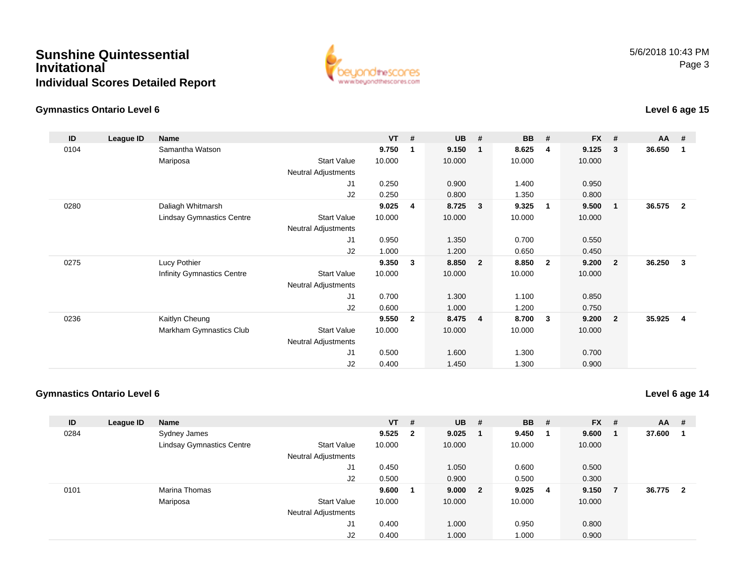## **Sunshine QuintessentialInvitationalIndividual Scores Detailed Report**



## **Gymnastics Ontario Level 6**

# **Level 6 age 15**

| ID   | League ID | Name                             |                     | $VT$ # |                | <b>UB</b> | #              | <b>BB</b> | #              | <b>FX</b> | #              | $AA$ # |                         |
|------|-----------|----------------------------------|---------------------|--------|----------------|-----------|----------------|-----------|----------------|-----------|----------------|--------|-------------------------|
| 0104 |           | Samantha Watson                  |                     | 9.750  | 1              | 9.150     | $\mathbf 1$    | 8.625     | 4              | 9.125     | 3              | 36.650 | 1                       |
|      |           | Mariposa                         | <b>Start Value</b>  | 10.000 |                | 10.000    |                | 10.000    |                | 10.000    |                |        |                         |
|      |           |                                  | Neutral Adjustments |        |                |           |                |           |                |           |                |        |                         |
|      |           |                                  | J1                  | 0.250  |                | 0.900     |                | 1.400     |                | 0.950     |                |        |                         |
|      |           |                                  | J2                  | 0.250  |                | 0.800     |                | 1.350     |                | 0.800     |                |        |                         |
| 0280 |           | Daliagh Whitmarsh                |                     | 9.025  | 4              | 8.725     | $\mathbf{3}$   | 9.325     | $\overline{1}$ | 9.500     | $\overline{1}$ | 36.575 | $\overline{2}$          |
|      |           | <b>Lindsay Gymnastics Centre</b> | <b>Start Value</b>  | 10.000 |                | 10.000    |                | 10.000    |                | 10.000    |                |        |                         |
|      |           |                                  | Neutral Adjustments |        |                |           |                |           |                |           |                |        |                         |
|      |           |                                  | J1                  | 0.950  |                | 1.350     |                | 0.700     |                | 0.550     |                |        |                         |
|      |           |                                  | J2                  | 1.000  |                | 1.200     |                | 0.650     |                | 0.450     |                |        |                         |
| 0275 |           | Lucy Pothier                     |                     | 9.350  | 3              | 8.850     | $\overline{2}$ | 8.850     | $\overline{2}$ | 9.200     | -2             | 36.250 | 3                       |
|      |           | Infinity Gymnastics Centre       | <b>Start Value</b>  | 10.000 |                | 10.000    |                | 10.000    |                | 10.000    |                |        |                         |
|      |           |                                  | Neutral Adjustments |        |                |           |                |           |                |           |                |        |                         |
|      |           |                                  | J1                  | 0.700  |                | 1.300     |                | 1.100     |                | 0.850     |                |        |                         |
|      |           |                                  | J <sub>2</sub>      | 0.600  |                | 1.000     |                | 1.200     |                | 0.750     |                |        |                         |
| 0236 |           | Kaitlyn Cheung                   |                     | 9.550  | $\overline{2}$ | 8.475     | $\overline{4}$ | 8.700     | $\mathbf{3}$   | 9.200     | $\overline{2}$ | 35.925 | $\overline{\mathbf{4}}$ |
|      |           | Markham Gymnastics Club          | <b>Start Value</b>  | 10.000 |                | 10.000    |                | 10.000    |                | 10.000    |                |        |                         |
|      |           |                                  | Neutral Adjustments |        |                |           |                |           |                |           |                |        |                         |
|      |           |                                  | J1                  | 0.500  |                | 1.600     |                | 1.300     |                | 0.700     |                |        |                         |
|      |           |                                  | J <sub>2</sub>      | 0.400  |                | 1.450     |                | 1.300     |                | 0.900     |                |        |                         |

## **Gymnastics Ontario Level 6**

# **Level 6 age 14**

| ID   | League ID | <b>Name</b>                      |                            | $VT$ # |                         | <b>UB</b> | # | <b>BB</b> | # | $FX$ # |                | <b>AA</b> | #                       |
|------|-----------|----------------------------------|----------------------------|--------|-------------------------|-----------|---|-----------|---|--------|----------------|-----------|-------------------------|
| 0284 |           | Sydney James                     |                            | 9.525  | $\overline{\mathbf{2}}$ | 9.025     |   | 9.450     |   | 9.600  |                | 37.600    |                         |
|      |           | <b>Lindsay Gymnastics Centre</b> | <b>Start Value</b>         | 10.000 |                         | 10.000    |   | 10.000    |   | 10.000 |                |           |                         |
|      |           |                                  | <b>Neutral Adjustments</b> |        |                         |           |   |           |   |        |                |           |                         |
|      |           |                                  | J1                         | 0.450  |                         | 1.050     |   | 0.600     |   | 0.500  |                |           |                         |
|      |           |                                  | J2                         | 0.500  |                         | 0.900     |   | 0.500     |   | 0.300  |                |           |                         |
| 0101 |           | Marina Thomas                    |                            | 9.600  |                         | 9.000 2   |   | 9.025     | 4 | 9.150  | $\overline{7}$ | 36.775    | $\overline{\mathbf{2}}$ |
|      |           | Mariposa                         | <b>Start Value</b>         | 10.000 |                         | 10.000    |   | 10.000    |   | 10.000 |                |           |                         |
|      |           |                                  | <b>Neutral Adjustments</b> |        |                         |           |   |           |   |        |                |           |                         |
|      |           |                                  | J1                         | 0.400  |                         | 1.000     |   | 0.950     |   | 0.800  |                |           |                         |
|      |           |                                  | J2                         | 0.400  |                         | 1.000     |   | 1.000     |   | 0.900  |                |           |                         |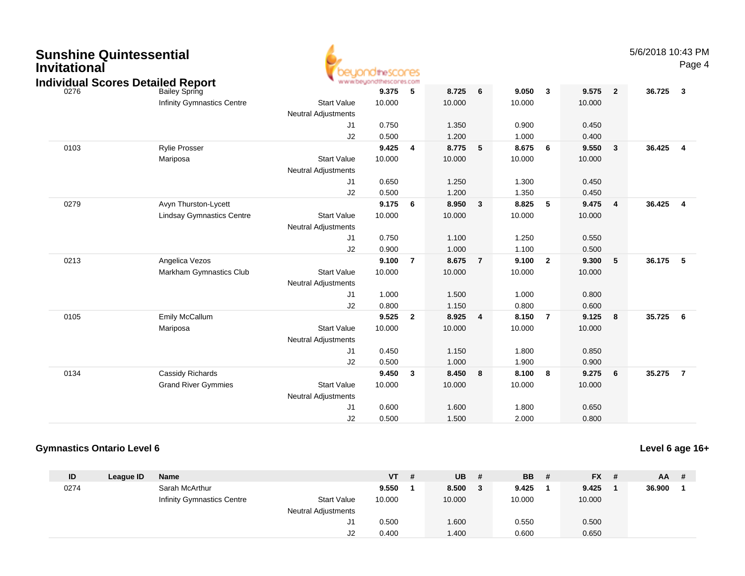| <b>Sunshine Quintessential</b><br><b>Invitational</b> | <b>Individual Scores Detailed Report</b> |                                                  | <b>idinescores</b><br>www.beyondthescores.com |                         |        |                |        |                         |        |                | 5/6/2018 10:43 PM | Page 4                  |
|-------------------------------------------------------|------------------------------------------|--------------------------------------------------|-----------------------------------------------|-------------------------|--------|----------------|--------|-------------------------|--------|----------------|-------------------|-------------------------|
| 0276                                                  | <b>Bailey Spring</b>                     |                                                  | 9.375                                         | 5                       | 8.725  | 6              | 9.050  | $\mathbf{3}$            | 9.575  | $\overline{2}$ | 36.725            | $\overline{\mathbf{3}}$ |
|                                                       | Infinity Gymnastics Centre               | <b>Start Value</b><br><b>Neutral Adjustments</b> | 10.000                                        |                         | 10.000 |                | 10.000 |                         | 10.000 |                |                   |                         |
|                                                       |                                          | J1                                               | 0.750                                         |                         | 1.350  |                | 0.900  |                         | 0.450  |                |                   |                         |
|                                                       |                                          | J2                                               | 0.500                                         |                         | 1.200  |                | 1.000  |                         | 0.400  |                |                   |                         |
| 0103                                                  | <b>Rylie Prosser</b>                     |                                                  | 9.425                                         | $\overline{4}$          | 8.775  | 5              | 8.675  | 6                       | 9.550  | $\mathbf{3}$   | 36.425            | $\overline{a}$          |
|                                                       | Mariposa                                 | <b>Start Value</b><br><b>Neutral Adjustments</b> | 10.000                                        |                         | 10.000 |                | 10.000 |                         | 10.000 |                |                   |                         |
|                                                       |                                          | J1                                               | 0.650                                         |                         | 1.250  |                | 1.300  |                         | 0.450  |                |                   |                         |
|                                                       |                                          | J2                                               | 0.500                                         |                         | 1.200  |                | 1.350  |                         | 0.450  |                |                   |                         |
| 0279                                                  | Avyn Thurston-Lycett                     |                                                  | 9.175                                         | 6                       | 8.950  | 3              | 8.825  | 5                       | 9.475  | 4              | 36.425            | $\overline{\mathbf{4}}$ |
|                                                       | <b>Lindsay Gymnastics Centre</b>         | <b>Start Value</b>                               | 10.000                                        |                         | 10.000 |                | 10.000 |                         | 10.000 |                |                   |                         |
|                                                       |                                          | <b>Neutral Adjustments</b>                       |                                               |                         |        |                |        |                         |        |                |                   |                         |
|                                                       |                                          | J1                                               | 0.750                                         |                         | 1.100  |                | 1.250  |                         | 0.550  |                |                   |                         |
|                                                       |                                          | J2                                               | 0.900                                         |                         | 1.000  |                | 1.100  |                         | 0.500  |                |                   |                         |
| 0213                                                  | Angelica Vezos                           |                                                  | 9.100                                         | $\overline{7}$          | 8.675  | $\overline{7}$ | 9.100  | $\overline{\mathbf{2}}$ | 9.300  | 5              | 36.175            | 5                       |
|                                                       | Markham Gymnastics Club                  | <b>Start Value</b>                               | 10.000                                        |                         | 10.000 |                | 10.000 |                         | 10.000 |                |                   |                         |
|                                                       |                                          | <b>Neutral Adjustments</b>                       |                                               |                         |        |                |        |                         |        |                |                   |                         |
|                                                       |                                          | J1                                               | 1.000                                         |                         | 1.500  |                | 1.000  |                         | 0.800  |                |                   |                         |
|                                                       |                                          | J2                                               | 0.800                                         |                         | 1.150  |                | 0.800  |                         | 0.600  |                |                   |                         |
| 0105                                                  | Emily McCallum                           |                                                  | 9.525                                         | $\overline{\mathbf{2}}$ | 8.925  | $\overline{4}$ | 8.150  | $\overline{7}$          | 9.125  | 8              | 35.725            | $6\overline{6}$         |
|                                                       | Mariposa                                 | <b>Start Value</b>                               | 10.000                                        |                         | 10.000 |                | 10.000 |                         | 10.000 |                |                   |                         |
|                                                       |                                          | <b>Neutral Adjustments</b>                       |                                               |                         |        |                |        |                         |        |                |                   |                         |
|                                                       |                                          | J1                                               | 0.450                                         |                         | 1.150  |                | 1.800  |                         | 0.850  |                |                   |                         |
|                                                       |                                          | J2                                               | 0.500                                         |                         | 1.000  |                | 1.900  |                         | 0.900  |                |                   |                         |
| 0134                                                  | Cassidy Richards                         |                                                  | 9.450                                         | $\overline{\mathbf{3}}$ | 8.450  | 8              | 8.100  | $\overline{\mathbf{8}}$ | 9.275  | 6              | 35.275            | $\overline{7}$          |
|                                                       | <b>Grand River Gymmies</b>               | <b>Start Value</b>                               | 10.000                                        |                         | 10.000 |                | 10.000 |                         | 10.000 |                |                   |                         |
|                                                       |                                          | <b>Neutral Adjustments</b>                       |                                               |                         |        |                |        |                         |        |                |                   |                         |
|                                                       |                                          | J1                                               | 0.600                                         |                         | 1.600  |                | 1.800  |                         | 0.650  |                |                   |                         |
|                                                       |                                          | J2                                               | 0.500                                         |                         | 1.500  |                | 2.000  |                         | 0.800  |                |                   |                         |

#### **Gymnastics Ontario Level 6**

## **Level 6 age 16+**

| ID   | League ID | Name                              |                            | <b>VT</b> | -# | <b>UB</b> | # | <b>BB</b> | # | $FX$ # | $AA$ # |  |
|------|-----------|-----------------------------------|----------------------------|-----------|----|-----------|---|-----------|---|--------|--------|--|
| 0274 |           | Sarah McArthur                    |                            | 9.550     |    | 8.500     |   | 9.425     |   | 9.425  | 36.900 |  |
|      |           | <b>Infinity Gymnastics Centre</b> | <b>Start Value</b>         | 10.000    |    | 10.000    |   | 10.000    |   | 10.000 |        |  |
|      |           |                                   | <b>Neutral Adjustments</b> |           |    |           |   |           |   |        |        |  |
|      |           |                                   | J1                         | 0.500     |    | 1.600     |   | 0.550     |   | 0.500  |        |  |
|      |           |                                   | J2                         | 0.400     |    | 1.400     |   | 0.600     |   | 0.650  |        |  |